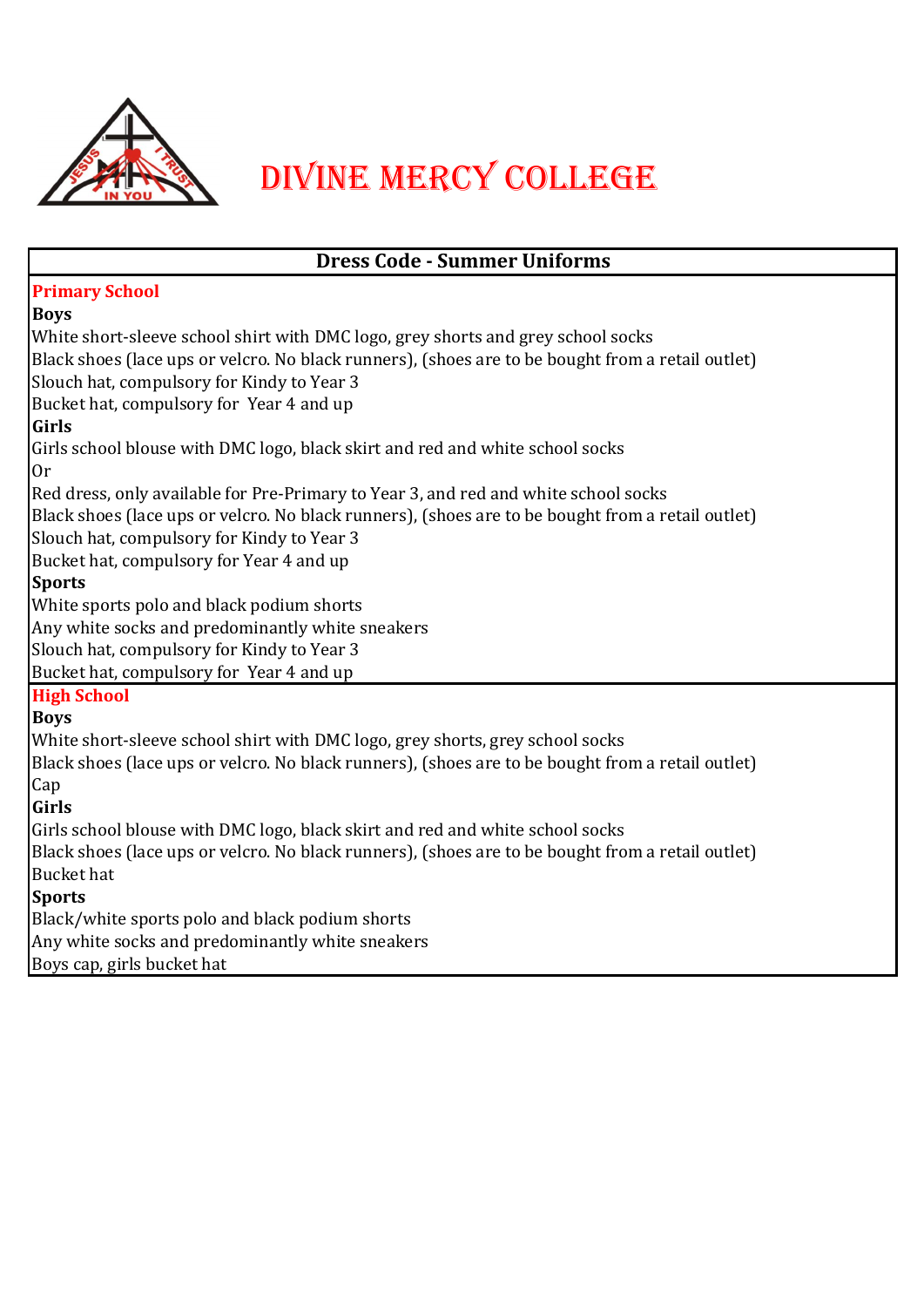

# Divine Mercy College

| Bucket hat, compulsory for Year 4 and up<br>White sports polo and black podium shorts<br>Any white socks and predominantly white sneakers<br>Slouch hat, compulsory for Kindy to Year 3<br>Bucket hat, compulsory for Year 4 and up<br>White short-sleeve school shirt with DMC logo, grey shorts, grey school socks<br>Black shoes (lace ups or velcro. No black runners), (shoes are to be bought from a retail outlet)<br>Girls school blouse with DMC logo, black skirt and red and white school socks<br>Black shoes (lace ups or velcro. No black runners), (shoes are to be bought from a retail outlet)<br><b>Bucket</b> hat | <b>Dress Code - Summer Uniforms</b>                                                               |
|--------------------------------------------------------------------------------------------------------------------------------------------------------------------------------------------------------------------------------------------------------------------------------------------------------------------------------------------------------------------------------------------------------------------------------------------------------------------------------------------------------------------------------------------------------------------------------------------------------------------------------------|---------------------------------------------------------------------------------------------------|
|                                                                                                                                                                                                                                                                                                                                                                                                                                                                                                                                                                                                                                      | <b>Primary School</b>                                                                             |
|                                                                                                                                                                                                                                                                                                                                                                                                                                                                                                                                                                                                                                      | <b>Boys</b>                                                                                       |
|                                                                                                                                                                                                                                                                                                                                                                                                                                                                                                                                                                                                                                      | White short-sleeve school shirt with DMC logo, grey shorts and grey school socks                  |
|                                                                                                                                                                                                                                                                                                                                                                                                                                                                                                                                                                                                                                      | Black shoes (lace ups or velcro. No black runners), (shoes are to be bought from a retail outlet) |
|                                                                                                                                                                                                                                                                                                                                                                                                                                                                                                                                                                                                                                      | Slouch hat, compulsory for Kindy to Year 3                                                        |
|                                                                                                                                                                                                                                                                                                                                                                                                                                                                                                                                                                                                                                      | Bucket hat, compulsory for Year 4 and up                                                          |
|                                                                                                                                                                                                                                                                                                                                                                                                                                                                                                                                                                                                                                      | <b>Girls</b>                                                                                      |
|                                                                                                                                                                                                                                                                                                                                                                                                                                                                                                                                                                                                                                      | Girls school blouse with DMC logo, black skirt and red and white school socks                     |
|                                                                                                                                                                                                                                                                                                                                                                                                                                                                                                                                                                                                                                      | 0r                                                                                                |
|                                                                                                                                                                                                                                                                                                                                                                                                                                                                                                                                                                                                                                      | Red dress, only available for Pre-Primary to Year 3, and red and white school socks               |
|                                                                                                                                                                                                                                                                                                                                                                                                                                                                                                                                                                                                                                      | Black shoes (lace ups or velcro. No black runners), (shoes are to be bought from a retail outlet) |
|                                                                                                                                                                                                                                                                                                                                                                                                                                                                                                                                                                                                                                      | Slouch hat, compulsory for Kindy to Year 3                                                        |
|                                                                                                                                                                                                                                                                                                                                                                                                                                                                                                                                                                                                                                      |                                                                                                   |
|                                                                                                                                                                                                                                                                                                                                                                                                                                                                                                                                                                                                                                      | <b>Sports</b>                                                                                     |
|                                                                                                                                                                                                                                                                                                                                                                                                                                                                                                                                                                                                                                      |                                                                                                   |
|                                                                                                                                                                                                                                                                                                                                                                                                                                                                                                                                                                                                                                      |                                                                                                   |
|                                                                                                                                                                                                                                                                                                                                                                                                                                                                                                                                                                                                                                      |                                                                                                   |
|                                                                                                                                                                                                                                                                                                                                                                                                                                                                                                                                                                                                                                      |                                                                                                   |
|                                                                                                                                                                                                                                                                                                                                                                                                                                                                                                                                                                                                                                      | <b>High School</b>                                                                                |
|                                                                                                                                                                                                                                                                                                                                                                                                                                                                                                                                                                                                                                      | <b>Boys</b>                                                                                       |
|                                                                                                                                                                                                                                                                                                                                                                                                                                                                                                                                                                                                                                      |                                                                                                   |
|                                                                                                                                                                                                                                                                                                                                                                                                                                                                                                                                                                                                                                      |                                                                                                   |
|                                                                                                                                                                                                                                                                                                                                                                                                                                                                                                                                                                                                                                      | Cap                                                                                               |
|                                                                                                                                                                                                                                                                                                                                                                                                                                                                                                                                                                                                                                      | Girls                                                                                             |
|                                                                                                                                                                                                                                                                                                                                                                                                                                                                                                                                                                                                                                      |                                                                                                   |
|                                                                                                                                                                                                                                                                                                                                                                                                                                                                                                                                                                                                                                      |                                                                                                   |
|                                                                                                                                                                                                                                                                                                                                                                                                                                                                                                                                                                                                                                      |                                                                                                   |
|                                                                                                                                                                                                                                                                                                                                                                                                                                                                                                                                                                                                                                      | <b>Sports</b>                                                                                     |
|                                                                                                                                                                                                                                                                                                                                                                                                                                                                                                                                                                                                                                      | Black/white sports polo and black podium shorts                                                   |
|                                                                                                                                                                                                                                                                                                                                                                                                                                                                                                                                                                                                                                      | Any white socks and predominantly white sneakers                                                  |
|                                                                                                                                                                                                                                                                                                                                                                                                                                                                                                                                                                                                                                      | Boys cap, girls bucket hat                                                                        |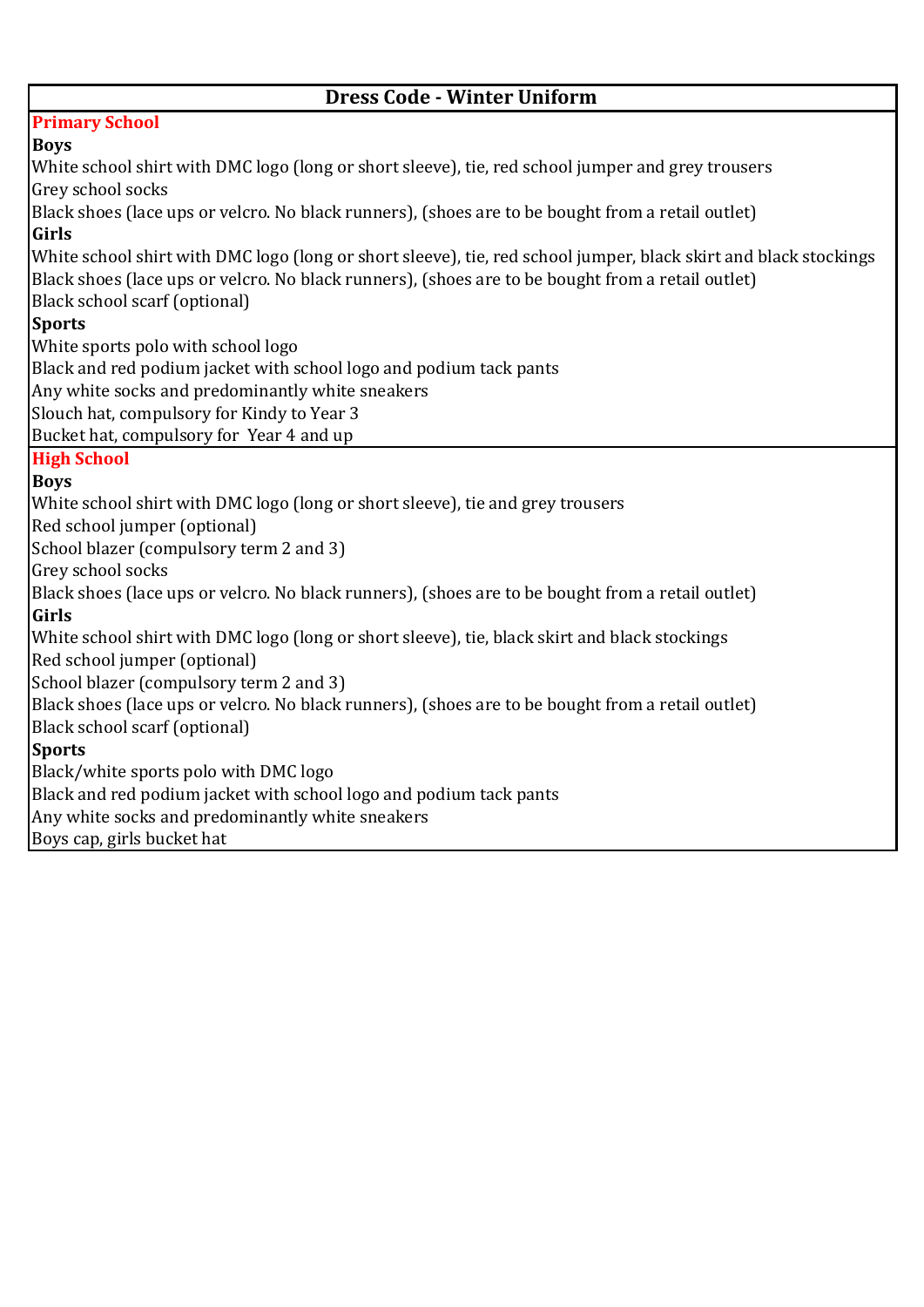## **Dress Code - Winter Uniform**

## **Primary School**

#### **Boys**

White school shirt with DMC logo (long or short sleeve), tie, red school jumper and grey trousers Grey school socks Black shoes (lace ups or velcro. No black runners), (shoes are to be bought from a retail outlet) **Girls**  White school shirt with DMC logo (long or short sleeve), tie, red school jumper, black skirt and black stockings Black shoes (lace ups or velcro. No black runners), (shoes are to be bought from a retail outlet) Black school scarf (optional) **Sports**  White sports polo with school logo Black and red podium jacket with school logo and podium tack pants Any white socks and predominantly white sneakers Slouch hat, compulsory for Kindy to Year 3 Bucket hat, compulsory for Year 4 and up **High School Boys** White school shirt with DMC logo (long or short sleeve), tie and grey trousers Red school jumper (optional) School blazer (compulsory term 2 and 3) Grey school socks Black shoes (lace ups or velcro. No black runners), (shoes are to be bought from a retail outlet) **Girls**  White school shirt with DMC logo (long or short sleeve), tie, black skirt and black stockings Red school jumper (optional) School blazer (compulsory term 2 and 3) Black shoes (lace ups or velcro. No black runners), (shoes are to be bought from a retail outlet) Black school scarf (optional) **Sports** Black/white sports polo with DMC logo Black and red podium jacket with school logo and podium tack pants Any white socks and predominantly white sneakers Boys cap, girls bucket hat